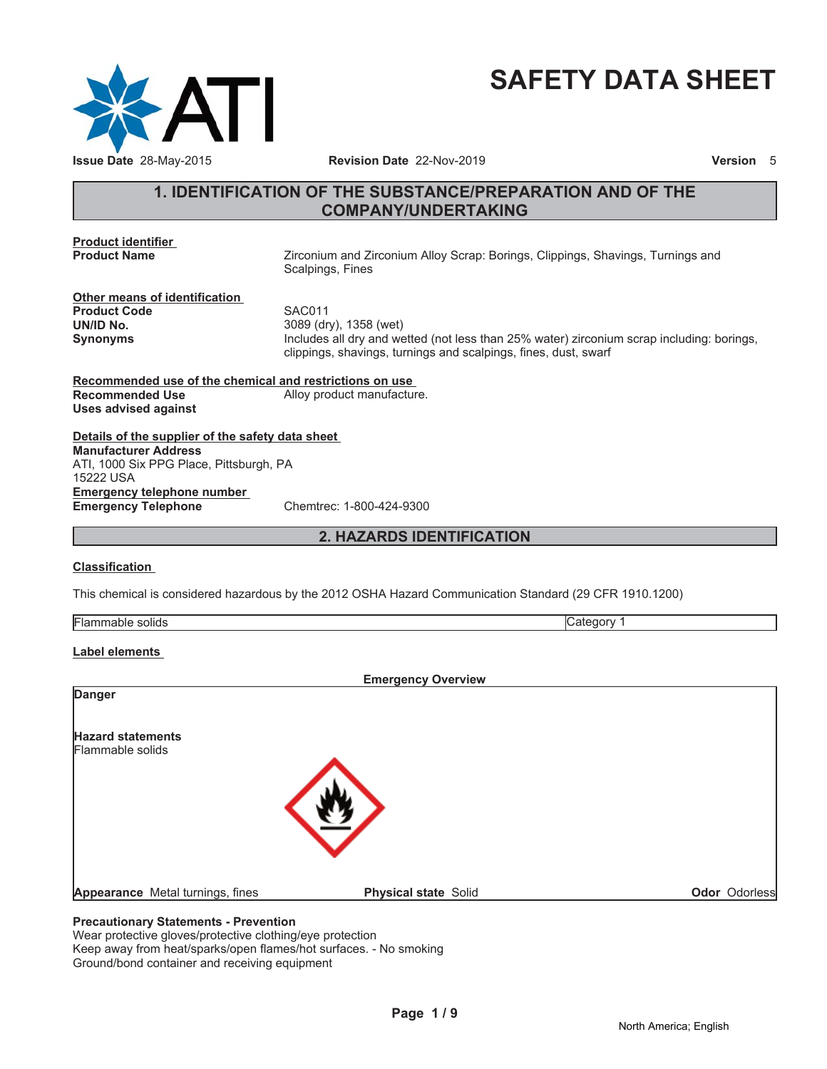

# **SAFETY DATA SHEET**

# **1. IDENTIFICATION OF THE SUBSTANCE/PREPARATION AND OF THE COMPANY/UNDERTAKING**

**Product identifier**

Zirconium and Zirconium Alloy Scrap: Borings, Clippings, Shavings, Turnings and Scalpings, Fines

**Other means of identification** Product Code SAC011 **UN/ID No.** 3089 (dry), 1358 (wet)

**Synonyms** Includes all dry and wetted (not less than 25% water) zirconium scrap including: borings, clippings, shavings, turnings and scalpings, fines, dust, swarf

**Recommended use of the chemical and restrictions on use Recommended Use** Alloy product manufacture. **Uses advised against**

**Details of the supplier of the safety data sheet Emergency telephone number Emergency Telephone** Chemtrec: 1-800-424-9300 **Manufacturer Address** ATI, 1000 Six PPG Place, Pittsburgh, PA 15222 USA

**2. HAZARDS IDENTIFICATION**

### **Classification**

This chemical is considered hazardous by the 2012 OSHA Hazard Communication Standard (29 CFR 1910.1200)

#### **Label elements**

|                                  | <b>Emergency Overview</b>   |               |
|----------------------------------|-----------------------------|---------------|
| <b>Danger</b>                    |                             |               |
| <b>Hazard statements</b>         |                             |               |
| Flammable solids                 |                             |               |
|                                  |                             |               |
|                                  |                             |               |
|                                  |                             |               |
|                                  |                             |               |
| Appearance Metal turnings, fines | <b>Physical state Solid</b> | Odor Odorless |

# **Precautionary Statements - Prevention**

Wear protective gloves/protective clothing/eye protection Keep away from heat/sparks/open flames/hot surfaces. - No smoking Ground/bond container and receiving equipment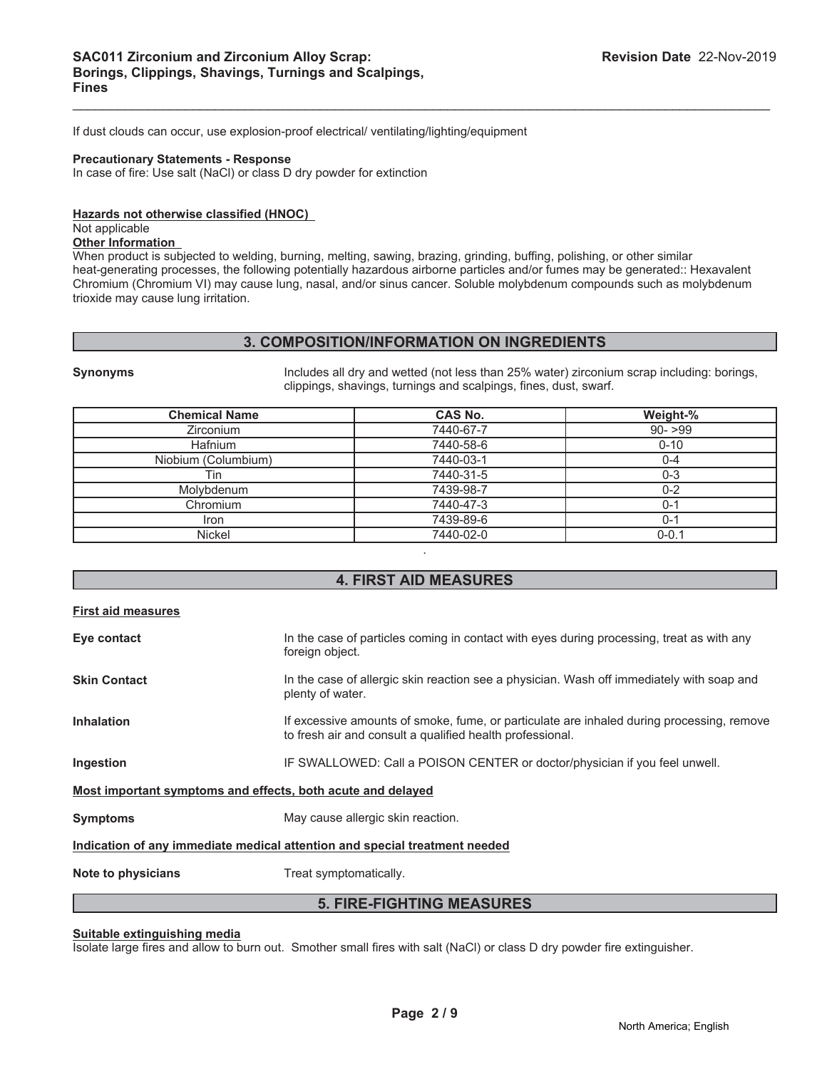If dust clouds can occur, use explosion-proof electrical/ ventilating/lighting/equipment

#### **Precautionary Statements - Response**

In case of fire: Use salt (NaCl) or class D dry powder for extinction

#### **Hazards not otherwise classified (HNOC)**

#### Not applicable

**Other Information**

When product is subjected to welding, burning, melting, sawing, brazing, grinding, buffing, polishing, or other similar heat-generating processes, the following potentially hazardous airborne particles and/or fumes may be generated:: Hexavalent Chromium (Chromium VI) may cause lung, nasal, and/or sinus cancer. Soluble molybdenum compounds such as molybdenum trioxide may cause lung irritation.

 $\mathcal{L}_\mathcal{L} = \mathcal{L}_\mathcal{L} = \mathcal{L}_\mathcal{L} = \mathcal{L}_\mathcal{L} = \mathcal{L}_\mathcal{L} = \mathcal{L}_\mathcal{L} = \mathcal{L}_\mathcal{L} = \mathcal{L}_\mathcal{L} = \mathcal{L}_\mathcal{L} = \mathcal{L}_\mathcal{L} = \mathcal{L}_\mathcal{L} = \mathcal{L}_\mathcal{L} = \mathcal{L}_\mathcal{L} = \mathcal{L}_\mathcal{L} = \mathcal{L}_\mathcal{L} = \mathcal{L}_\mathcal{L} = \mathcal{L}_\mathcal{L}$ 

#### **3. COMPOSITION/INFORMATION ON INGREDIENTS**

**Synonyms** Includes all dry and wetted (not less than 25% water) zirconium scrap including: borings, clippings, shavings, turnings and scalpings, fines, dust, swarf.

| <b>Chemical Name</b> | <b>CAS No.</b> | Weight-%  |
|----------------------|----------------|-----------|
| <b>Zirconium</b>     | 7440-67-7      | $90 - 99$ |
| Hafnium              | 7440-58-6      | $0 - 10$  |
| Niobium (Columbium)  | 7440-03-1      | 0-4       |
| Tin                  | 7440-31-5      | $0 - 3$   |
| Molybdenum           | 7439-98-7      | $0 - 2$   |
| Chromium             | 7440-47-3      | $0 - 1$   |
| Iron                 | 7439-89-6      | 0-1       |
| <b>Nickel</b>        | 7440-02-0      | $0 - 0.1$ |
|                      |                |           |

# **4. FIRST AID MEASURES**

| <b>First aid measures</b>                                   |                                                                                                                                                        |
|-------------------------------------------------------------|--------------------------------------------------------------------------------------------------------------------------------------------------------|
| Eye contact                                                 | In the case of particles coming in contact with eyes during processing, treat as with any<br>foreign object.                                           |
| <b>Skin Contact</b>                                         | In the case of allergic skin reaction see a physician. Wash off immediately with soap and<br>plenty of water.                                          |
| <b>Inhalation</b>                                           | If excessive amounts of smoke, fume, or particulate are inhaled during processing, remove<br>to fresh air and consult a qualified health professional. |
| Ingestion                                                   | IF SWALLOWED: Call a POISON CENTER or doctor/physician if you feel unwell.                                                                             |
| Most important symptoms and effects, both acute and delayed |                                                                                                                                                        |
| <b>Symptoms</b>                                             | May cause allergic skin reaction.                                                                                                                      |
|                                                             | Indication of any immediate medical attention and special treatment needed                                                                             |
| Note to physicians                                          | Treat symptomatically.                                                                                                                                 |

#### **5. FIRE-FIGHTING MEASURES**

#### **Suitable extinguishing media**

Isolate large fires and allow to burn out. Smother small fires with salt (NaCl) or class D dry powder fire extinguisher.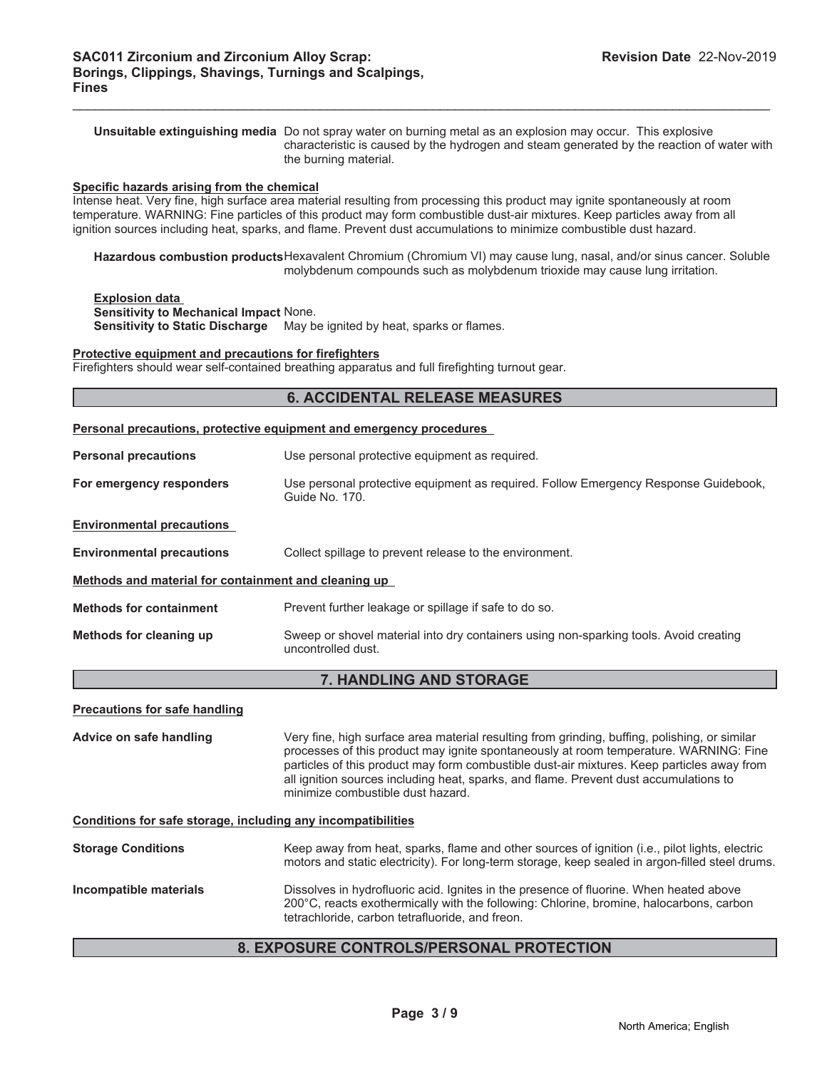**Unsuitable extinguishing media** Do not spray water on burning metal as an explosion may occur. This explosive characteristic is caused by the hydrogen and steam generated by the reaction of water with the burning material.

 $\mathcal{L}_\mathcal{L} = \mathcal{L}_\mathcal{L} = \mathcal{L}_\mathcal{L} = \mathcal{L}_\mathcal{L} = \mathcal{L}_\mathcal{L} = \mathcal{L}_\mathcal{L} = \mathcal{L}_\mathcal{L} = \mathcal{L}_\mathcal{L} = \mathcal{L}_\mathcal{L} = \mathcal{L}_\mathcal{L} = \mathcal{L}_\mathcal{L} = \mathcal{L}_\mathcal{L} = \mathcal{L}_\mathcal{L} = \mathcal{L}_\mathcal{L} = \mathcal{L}_\mathcal{L} = \mathcal{L}_\mathcal{L} = \mathcal{L}_\mathcal{L}$ 

#### **Specific hazards arising from the chemical**

Intense heat. Very fine, high surface area material resulting from processing this product may ignite spontaneously at room temperature. WARNING: Fine particles of this product may form combustible dust-air mixtures. Keep particles away from all ignition sources including heat, sparks, and flame. Prevent dust accumulations to minimize combustible dust hazard.

**Hazardous combustion products**Hexavalent Chromium (Chromium VI) may cause lung, nasal, and/or sinus cancer. Soluble molybdenum compounds such as molybdenum trioxide may cause lung irritation.

#### **Explosion data**

**Sensitivity to Mechanical Impact** None. **Sensitivity to Static Discharge** May be ignited by heat, sparks or flames.

#### **Protective equipment and precautions for firefighters**

Firefighters should wear self-contained breathing apparatus and full firefighting turnout gear.

|                                                              | <b>6. ACCIDENTAL RELEASE MEASURES</b>                                                                                                                                                                                                                                                                                                                                                                              |
|--------------------------------------------------------------|--------------------------------------------------------------------------------------------------------------------------------------------------------------------------------------------------------------------------------------------------------------------------------------------------------------------------------------------------------------------------------------------------------------------|
|                                                              | Personal precautions, protective equipment and emergency procedures                                                                                                                                                                                                                                                                                                                                                |
| <b>Personal precautions</b>                                  | Use personal protective equipment as required.                                                                                                                                                                                                                                                                                                                                                                     |
| For emergency responders                                     | Use personal protective equipment as required. Follow Emergency Response Guidebook,<br>Guide No. 170.                                                                                                                                                                                                                                                                                                              |
| <b>Environmental precautions</b>                             |                                                                                                                                                                                                                                                                                                                                                                                                                    |
| <b>Environmental precautions</b>                             | Collect spillage to prevent release to the environment.                                                                                                                                                                                                                                                                                                                                                            |
| Methods and material for containment and cleaning up         |                                                                                                                                                                                                                                                                                                                                                                                                                    |
| <b>Methods for containment</b>                               | Prevent further leakage or spillage if safe to do so.                                                                                                                                                                                                                                                                                                                                                              |
| Methods for cleaning up                                      | Sweep or shovel material into dry containers using non-sparking tools. Avoid creating<br>uncontrolled dust.                                                                                                                                                                                                                                                                                                        |
|                                                              | 7. HANDLING AND STORAGE                                                                                                                                                                                                                                                                                                                                                                                            |
| <b>Precautions for safe handling</b>                         |                                                                                                                                                                                                                                                                                                                                                                                                                    |
| Advice on safe handling                                      | Very fine, high surface area material resulting from grinding, buffing, polishing, or similar<br>processes of this product may ignite spontaneously at room temperature. WARNING: Fine<br>particles of this product may form combustible dust-air mixtures. Keep particles away from<br>all ignition sources including heat, sparks, and flame. Prevent dust accumulations to<br>minimize combustible dust hazard. |
| Conditions for safe storage, including any incompatibilities |                                                                                                                                                                                                                                                                                                                                                                                                                    |
| <b>Storage Conditions</b>                                    | Keep away from heat, sparks, flame and other sources of ignition (i.e., pilot lights, electric<br>motors and static electricity). For long-term storage, keep sealed in argon-filled steel drums.                                                                                                                                                                                                                  |
| Incompatible materials                                       | Dissolves in hydrofluoric acid. Ignites in the presence of fluorine. When heated above<br>200°C, reacts exothermically with the following: Chlorine, bromine, halocarbons, carbon                                                                                                                                                                                                                                  |

### **8. EXPOSURE CONTROLS/PERSONAL PROTECTION**

tetrachloride, carbon tetrafluoride, and freon.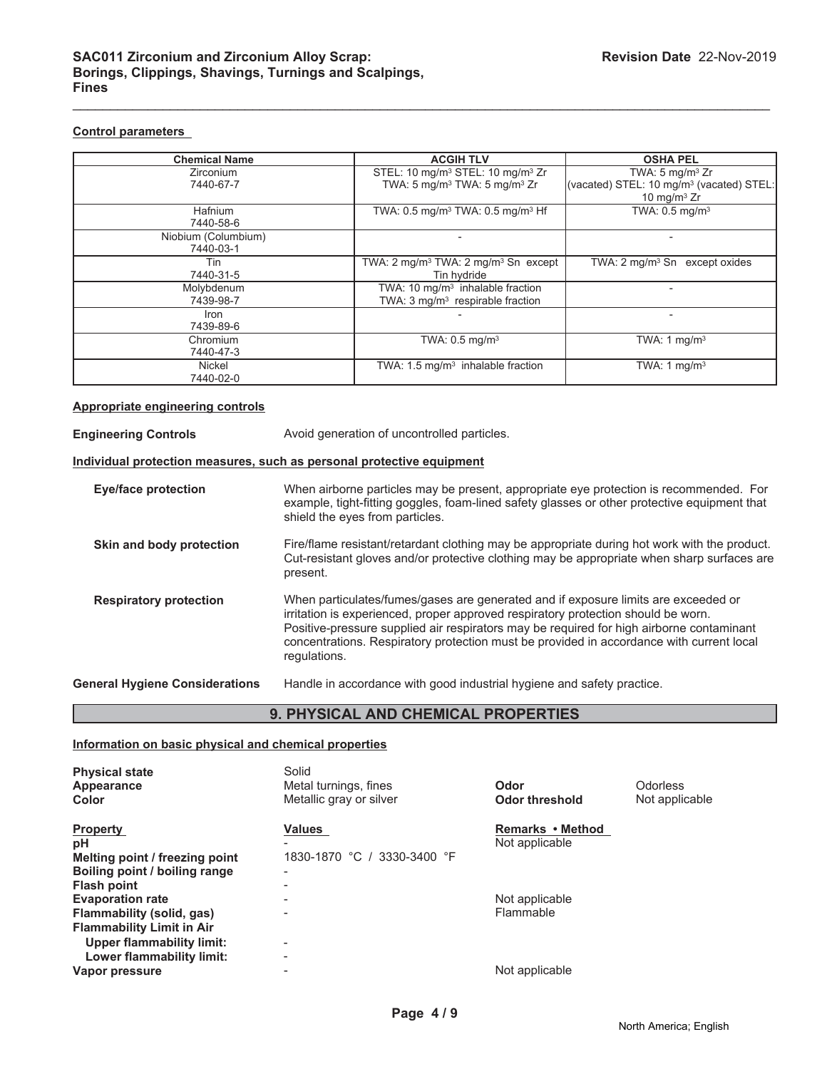#### **Control parameters**

| <b>Chemical Name</b> | <b>ACGIH TLV</b>                                             | <b>OSHA PEL</b>                                      |
|----------------------|--------------------------------------------------------------|------------------------------------------------------|
| <b>Zirconium</b>     | STEL: 10 mg/m <sup>3</sup> STEL: 10 mg/m <sup>3</sup> Zr     | TWA: $5 \text{ mg/m}^3$ Zr                           |
| 7440-67-7            | TWA: 5 mg/m <sup>3</sup> TWA: 5 mg/m <sup>3</sup> Zr         | (vacated) STEL: 10 mg/m <sup>3</sup> (vacated) STEL: |
|                      |                                                              | 10 mg/m $3$ Zr                                       |
| Hafnium              | TWA: $0.5$ mg/m <sup>3</sup> TWA: $0.5$ mg/m <sup>3</sup> Hf | TWA: $0.5$ mg/m <sup>3</sup>                         |
| 7440-58-6            |                                                              |                                                      |
| Niobium (Columbium)  |                                                              |                                                      |
| 7440-03-1            |                                                              |                                                      |
| Tin                  | TWA: 2 mg/m <sup>3</sup> TWA: 2 mg/m <sup>3</sup> Sn except  | TWA: $2 \text{ mq/m}^3$ Sn except oxides             |
| 7440-31-5            | Tin hydride                                                  |                                                      |
| Molybdenum           | TWA: 10 $mq/m3$ inhalable fraction                           |                                                      |
| 7439-98-7            | TWA: $3 \text{ mq/m}^3$ respirable fraction                  |                                                      |
| Iron                 |                                                              |                                                      |
| 7439-89-6            |                                                              |                                                      |
| Chromium             | TWA: $0.5$ mg/m <sup>3</sup>                                 | TWA: $1 \text{ mg/m}^3$                              |
| 7440-47-3            |                                                              |                                                      |
| Nickel               | TWA: 1.5 mg/m <sup>3</sup> inhalable fraction                | TWA: 1 $mg/m3$                                       |
| 7440-02-0            |                                                              |                                                      |

 $\mathcal{L}_\mathcal{L} = \mathcal{L}_\mathcal{L} = \mathcal{L}_\mathcal{L} = \mathcal{L}_\mathcal{L} = \mathcal{L}_\mathcal{L} = \mathcal{L}_\mathcal{L} = \mathcal{L}_\mathcal{L} = \mathcal{L}_\mathcal{L} = \mathcal{L}_\mathcal{L} = \mathcal{L}_\mathcal{L} = \mathcal{L}_\mathcal{L} = \mathcal{L}_\mathcal{L} = \mathcal{L}_\mathcal{L} = \mathcal{L}_\mathcal{L} = \mathcal{L}_\mathcal{L} = \mathcal{L}_\mathcal{L} = \mathcal{L}_\mathcal{L}$ 

#### **Appropriate engineering controls**

| <b>Engineering Controls</b>                                           | Avoid generation of uncontrolled particles.                                                                                                                                                                                                                                                                                                                                     |
|-----------------------------------------------------------------------|---------------------------------------------------------------------------------------------------------------------------------------------------------------------------------------------------------------------------------------------------------------------------------------------------------------------------------------------------------------------------------|
| Individual protection measures, such as personal protective equipment |                                                                                                                                                                                                                                                                                                                                                                                 |
| Eye/face protection                                                   | When airborne particles may be present, appropriate eye protection is recommended. For<br>example, tight-fitting goggles, foam-lined safety glasses or other protective equipment that<br>shield the eyes from particles.                                                                                                                                                       |
| Skin and body protection                                              | Fire/flame resistant/retardant clothing may be appropriate during hot work with the product.<br>Cut-resistant gloves and/or protective clothing may be appropriate when sharp surfaces are<br>present.                                                                                                                                                                          |
| <b>Respiratory protection</b>                                         | When particulates/fumes/gases are generated and if exposure limits are exceeded or<br>irritation is experienced, proper approved respiratory protection should be worn.<br>Positive-pressure supplied air respirators may be required for high airborne contaminant<br>concentrations. Respiratory protection must be provided in accordance with current local<br>regulations. |
| <b>General Hygiene Considerations</b>                                 | Handle in accordance with good industrial hygiene and safety practice.                                                                                                                                                                                                                                                                                                          |

# **9. PHYSICAL AND CHEMICAL PROPERTIES**

#### **Information on basic physical and chemical properties**

| <b>Physical state</b><br>Appearance<br>Color                                                                                 | Solid<br>Metal turnings, fines<br>Metallic gray or silver | Odor<br>Odor threshold             | Odorless<br>Not applicable |
|------------------------------------------------------------------------------------------------------------------------------|-----------------------------------------------------------|------------------------------------|----------------------------|
| <b>Property</b><br>рH<br>Melting point / freezing point<br>Boiling point / boiling range<br><b>Flash point</b>               | <b>Values</b><br>1830-1870 °C / 3330-3400 °F              | Remarks • Method<br>Not applicable |                            |
| <b>Evaporation rate</b><br>Flammability (solid, gas)<br><b>Flammability Limit in Air</b><br><b>Upper flammability limit:</b> |                                                           | Not applicable<br>Flammable        |                            |
| Lower flammability limit:<br>Vapor pressure                                                                                  |                                                           | Not applicable                     |                            |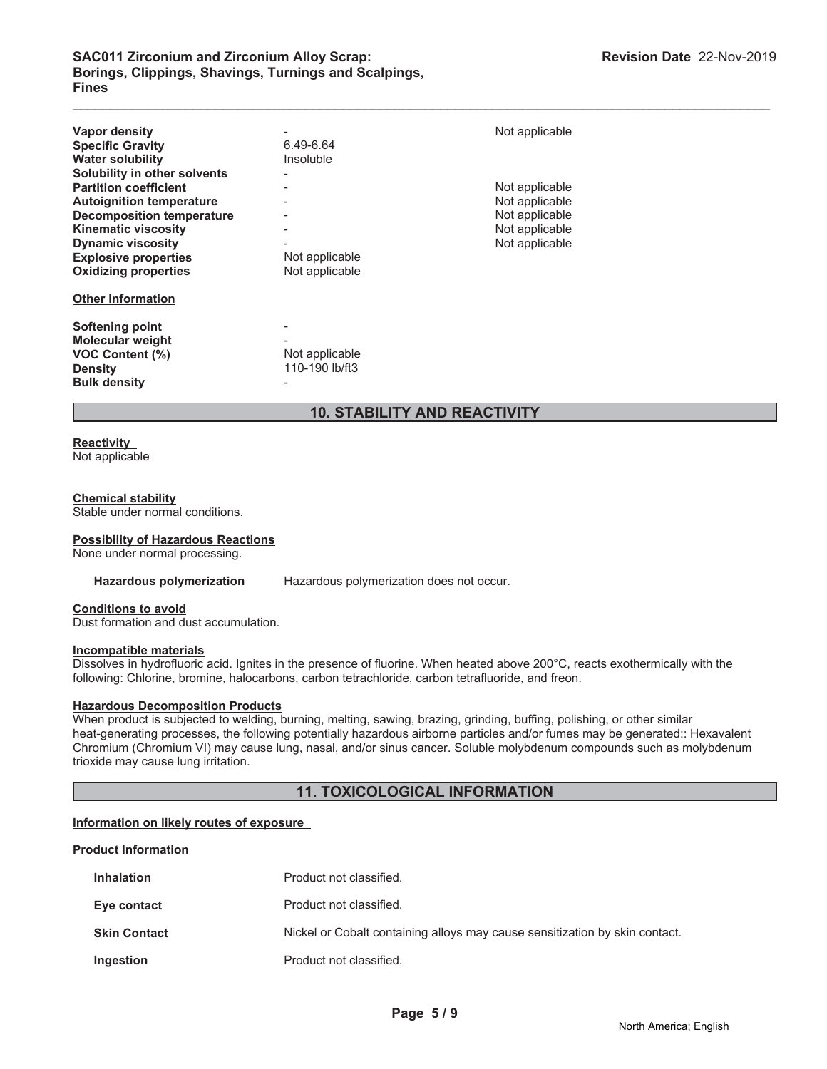| <b>Vapor density</b>             |                | Not applicable |
|----------------------------------|----------------|----------------|
| <b>Specific Gravity</b>          | 6.49-6.64      |                |
| <b>Water solubility</b>          | Insoluble      |                |
| Solubility in other solvents     |                |                |
| <b>Partition coefficient</b>     |                | Not applicable |
| <b>Autoignition temperature</b>  |                | Not applicable |
| <b>Decomposition temperature</b> |                | Not applicable |
| <b>Kinematic viscosity</b>       |                | Not applicable |
| <b>Dynamic viscosity</b>         |                | Not applicable |
| <b>Explosive properties</b>      | Not applicable |                |
| <b>Oxidizing properties</b>      | Not applicable |                |
| <b>Other Information</b>         |                |                |
| <b>Softening point</b>           |                |                |
| <b>Molecular weight</b>          |                |                |
| <b>VOC Content (%)</b>           | Not applicable |                |
| <b>Density</b>                   | 110-190 lb/ft3 |                |
| <b>Bulk density</b>              |                |                |

# **10. STABILITY AND REACTIVITY**

 $\mathcal{L}_\mathcal{L} = \mathcal{L}_\mathcal{L} = \mathcal{L}_\mathcal{L} = \mathcal{L}_\mathcal{L} = \mathcal{L}_\mathcal{L} = \mathcal{L}_\mathcal{L} = \mathcal{L}_\mathcal{L} = \mathcal{L}_\mathcal{L} = \mathcal{L}_\mathcal{L} = \mathcal{L}_\mathcal{L} = \mathcal{L}_\mathcal{L} = \mathcal{L}_\mathcal{L} = \mathcal{L}_\mathcal{L} = \mathcal{L}_\mathcal{L} = \mathcal{L}_\mathcal{L} = \mathcal{L}_\mathcal{L} = \mathcal{L}_\mathcal{L}$ 

# **Reactivity**

Not applicable

#### **Chemical stability**

Stable under normal conditions.

#### **Possibility of Hazardous Reactions**

None under normal processing.

Hazardous polymerization Hazardous polymerization does not occur.

#### **Conditions to avoid**

Dust formation and dust accumulation.

#### **Incompatible materials**

Dissolves in hydrofluoric acid. Ignites in the presence of fluorine. When heated above 200°C, reacts exothermically with the following: Chlorine, bromine, halocarbons, carbon tetrachloride, carbon tetrafluoride, and freon.

# **Hazardous Decomposition Products**

When product is subjected to welding, burning, melting, sawing, brazing, grinding, buffing, polishing, or other similar heat-generating processes, the following potentially hazardous airborne particles and/or fumes may be generated:: Hexavalent Chromium (Chromium VI) may cause lung, nasal, and/or sinus cancer. Soluble molybdenum compounds such as molybdenum trioxide may cause lung irritation.

### **11. TOXICOLOGICAL INFORMATION**

#### **Information on likely routes of exposure**

#### **Product Information**

| <b>Inhalation</b>   | Product not classified.                                                     |
|---------------------|-----------------------------------------------------------------------------|
| Eye contact         | Product not classified.                                                     |
| <b>Skin Contact</b> | Nickel or Cobalt containing alloys may cause sensitization by skin contact. |
| Ingestion           | Product not classified.                                                     |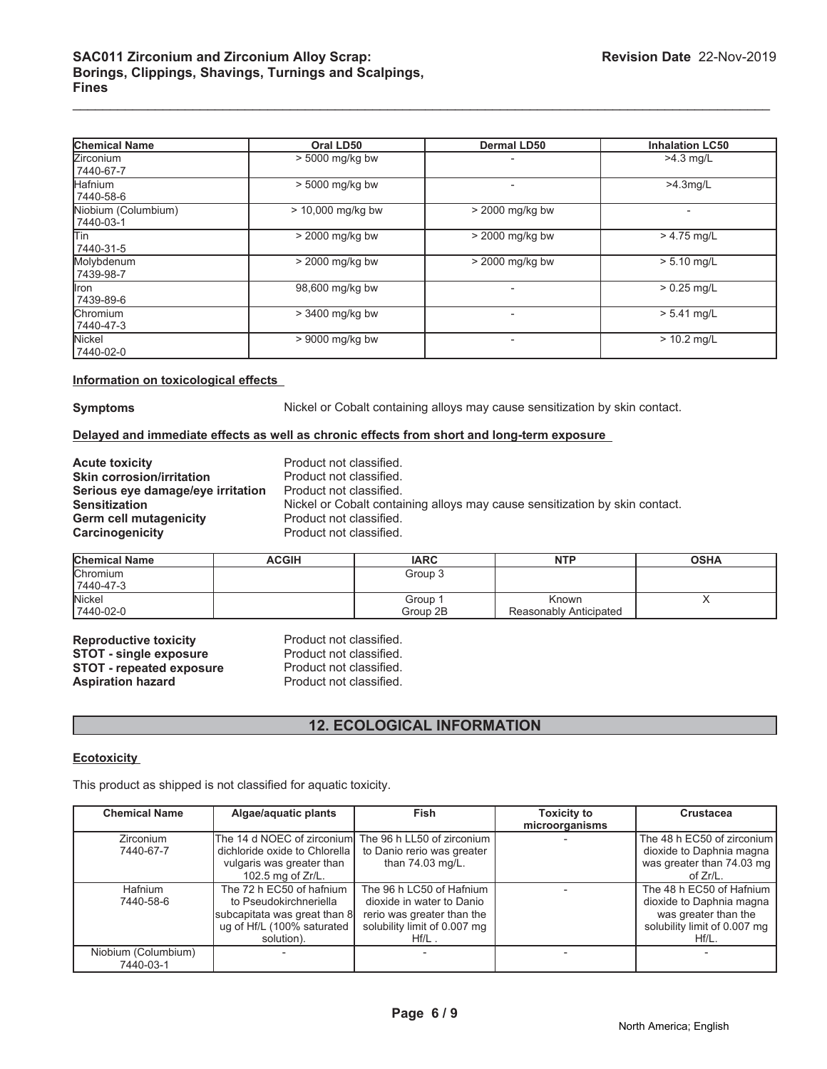| <b>Chemical Name</b>             | Oral LD50         | <b>Dermal LD50</b> | <b>Inhalation LC50</b> |
|----------------------------------|-------------------|--------------------|------------------------|
| <b>Zirconium</b><br>7440-67-7    | > 5000 mg/kg bw   |                    | $>4.3$ mg/L            |
| <b>Hafnium</b><br>7440-58-6      | > 5000 mg/kg bw   | ٠                  | $>4.3$ mg/L            |
| Niobium (Columbium)<br>7440-03-1 | > 10,000 mg/kg bw | > 2000 mg/kg bw    |                        |
| lTin<br>7440-31-5                | > 2000 mg/kg bw   | > 2000 mg/kg bw    | $> 4.75$ mg/L          |
| Molybdenum<br>7439-98-7          | > 2000 mg/kg bw   | > 2000 mg/kg bw    | $> 5.10$ mg/L          |
| llron.<br>7439-89-6              | 98,600 mg/kg bw   |                    | $> 0.25$ mg/L          |
| <b>Chromium</b><br>7440-47-3     | > 3400 mg/kg bw   |                    | $> 5.41$ mg/L          |
| Nickel<br>7440-02-0              | > 9000 mg/kg bw   | ٠                  | $> 10.2$ mg/L          |

#### **Information on toxicological effects**

**Symptoms** Nickel or Cobalt containing alloys may cause sensitization by skin contact.

#### **Delayed and immediate effects as well as chronic effects from short and long-term exposure**

| <b>Acute toxicity</b>             |
|-----------------------------------|
| <b>Skin corrosion/irritation</b>  |
| Serious eye damage/eye irritation |
| <b>Sensitization</b>              |
| Germ cell mutagenicity            |
| <b>Carcinogenicity</b>            |

Product not classified. **Product not classified.** Product not classified. **Sensitization** Nickel or Cobalt containing alloys may cause sensitization by skin contact. Product not classified. Product not classified.

| <b>Chemical Name</b> | ACGIH | <b>IARC</b> | <b>NTP</b>             | <b>OSHA</b> |
|----------------------|-------|-------------|------------------------|-------------|
| <b>Chromium</b>      |       | Group 3     |                        |             |
| 7440-47-3            |       |             |                        |             |
| <b>Nickel</b>        |       | Group       | Known                  |             |
| 7440-02-0            |       | Group 2B    | Reasonably Anticipated |             |

**Reproductive toxicity Product not classified.**<br> **STOT - single exposure** Product not classified. **STOT - single exposure** Product not classified.<br> **STOT - repeated exposure** Product not classified. **STOT - repeated exposure<br>Aspiration hazard** 

Product not classified.

# **12. ECOLOGICAL INFORMATION**

#### **Ecotoxicity**

This product as shipped is not classified for aquatic toxicity.

| <b>Chemical Name</b> | Algae/aquatic plants                                   | <b>Fish</b>                  | <b>Toxicity to</b> | <b>Crustacea</b>             |
|----------------------|--------------------------------------------------------|------------------------------|--------------------|------------------------------|
|                      |                                                        |                              | microorganisms     |                              |
| Zirconium            | The 14 d NOEC of zirconiuml The 96 h LL50 of zirconium |                              |                    | The 48 h EC50 of zirconium   |
| 7440-67-7            | dichloride oxide to Chlorella                          | to Danio rerio was greater   |                    | dioxide to Daphnia magna     |
|                      | vulgaris was greater than                              | than 74.03 mg/L.             |                    | was greater than 74.03 mg    |
|                      | 102.5 mg of Zr/L.                                      |                              |                    | of $Zr/L$ .                  |
| Hafnium              | The 72 h EC50 of hafnium                               | The 96 h LC50 of Hafnium     |                    | The 48 h EC50 of Hafnium     |
| 7440-58-6            | to Pseudokirchneriella                                 | dioxide in water to Danio    |                    | dioxide to Daphnia magna     |
|                      | subcapitata was great than 8                           | rerio was greater than the   |                    | was greater than the         |
|                      | ug of Hf/L (100% saturated                             | solubility limit of 0.007 mg |                    | solubility limit of 0.007 mg |
|                      | solution).                                             | $Hf/L$ .                     |                    | $Hf/L$ .                     |
| Niobium (Columbium)  |                                                        |                              |                    |                              |
| 7440-03-1            |                                                        |                              |                    |                              |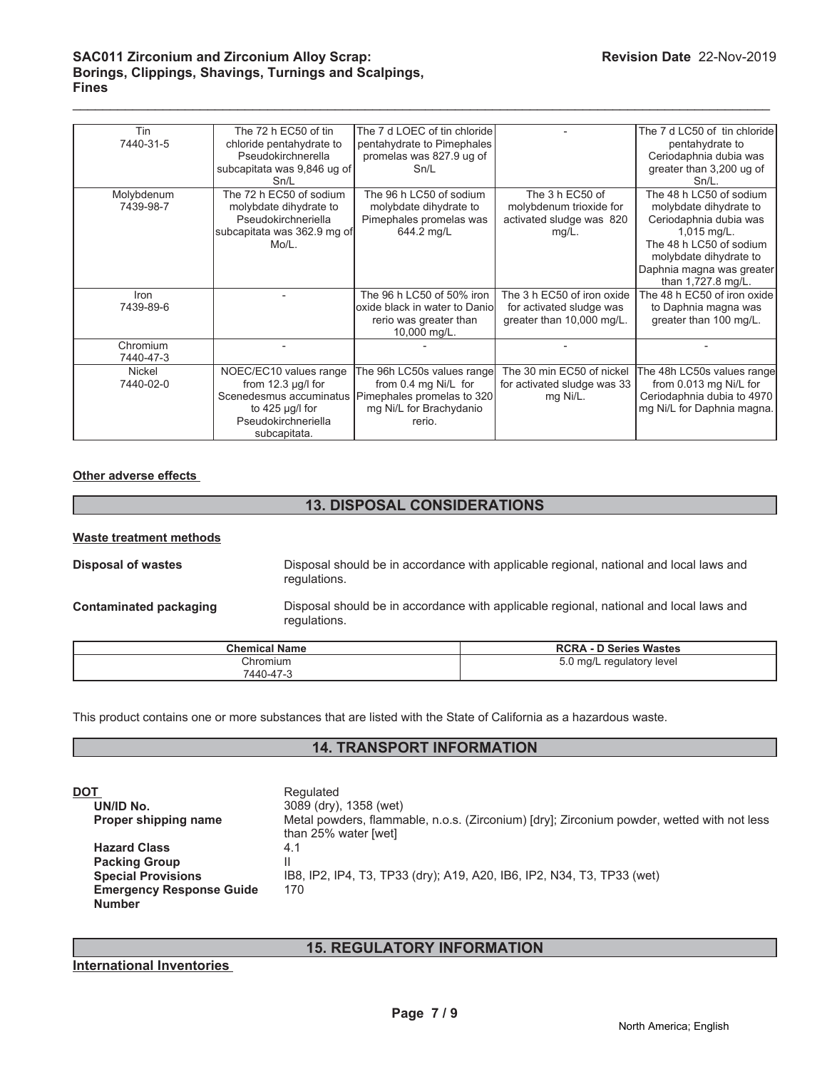### **SAC011 Zirconium and Zirconium Alloy Scrap: Borings, Clippings, Shavings, Turnings and Scalpings, Fines**

| Tin        | The 72 h EC50 of tin        | The 7 d LOEC of tin chloride                       |                             | The 7 d LC50 of tin chloride |
|------------|-----------------------------|----------------------------------------------------|-----------------------------|------------------------------|
| 7440-31-5  | chloride pentahydrate to    | pentahydrate to Pimephales                         |                             | pentahydrate to              |
|            | Pseudokirchnerella          | promelas was 827.9 ug of                           |                             | Ceriodaphnia dubia was       |
|            | subcapitata was 9,846 ug of | Sn/L                                               |                             | greater than 3,200 ug of     |
|            | Sn/L                        |                                                    |                             | $Sn/L$ .                     |
| Molybdenum | The 72 h EC50 of sodium     | The 96 h LC50 of sodium                            | The 3 h EC50 of             | The 48 h LC50 of sodium      |
| 7439-98-7  | molybdate dihydrate to      | molybdate dihydrate to                             | molybdenum trioxide for     | molybdate dihydrate to       |
|            | Pseudokirchneriella         | Pimephales promelas was                            | activated sludge was 820    | Ceriodaphnia dubia was       |
|            | subcapitata was 362.9 mg of | 644.2 mg/L                                         | $mg/L$ .                    | $1,015$ mg/L.                |
|            | $M_0/L$ .                   |                                                    |                             | The 48 h LC50 of sodium      |
|            |                             |                                                    |                             | molybdate dihydrate to       |
|            |                             |                                                    |                             | Daphnia magna was greater    |
|            |                             |                                                    |                             | than 1,727.8 mg/L.           |
| Iron       |                             | The 96 h LC50 of 50% iron                          | The 3 h EC50 of iron oxide  | The 48 h EC50 of iron oxide  |
| 7439-89-6  |                             | oxide black in water to Danio                      | for activated sludge was    | to Daphnia magna was         |
|            |                             | rerio was greater than                             | greater than 10,000 mg/L.   | greater than 100 mg/L.       |
|            |                             | 10,000 mg/L.                                       |                             |                              |
| Chromium   |                             |                                                    |                             |                              |
| 7440-47-3  |                             |                                                    |                             |                              |
| Nickel     | NOEC/EC10 values range      | The 96h LC50s values range                         | The 30 min EC50 of nickel   | The 48h LC50s values range   |
| 7440-02-0  | from $12.3$ µg/l for        | from 0.4 mg Ni/L for                               | for activated sludge was 33 | from 0.013 mg Ni/L for       |
|            |                             | Scenedesmus accuminatus Pimephales promelas to 320 | mg Ni/L.                    | Ceriodaphnia dubia to 4970   |
|            | to $425 \mu g/l$ for        | mg Ni/L for Brachydanio                            |                             | mg Ni/L for Daphnia magna.   |
|            | Pseudokirchneriella         | rerio.                                             |                             |                              |
|            | subcapitata.                |                                                    |                             |                              |

 $\mathcal{L}_\mathcal{L} = \mathcal{L}_\mathcal{L} = \mathcal{L}_\mathcal{L} = \mathcal{L}_\mathcal{L} = \mathcal{L}_\mathcal{L} = \mathcal{L}_\mathcal{L} = \mathcal{L}_\mathcal{L} = \mathcal{L}_\mathcal{L} = \mathcal{L}_\mathcal{L} = \mathcal{L}_\mathcal{L} = \mathcal{L}_\mathcal{L} = \mathcal{L}_\mathcal{L} = \mathcal{L}_\mathcal{L} = \mathcal{L}_\mathcal{L} = \mathcal{L}_\mathcal{L} = \mathcal{L}_\mathcal{L} = \mathcal{L}_\mathcal{L}$ 

# **Other adverse effects**

# **13. DISPOSAL CONSIDERATIONS**

#### **Waste treatment methods**

**Disposal of wastes** Disposal should be in accordance with applicable regional, national and local laws and regulations.

**Contaminated packaging** Disposal should be in accordance with applicable regional, national and local laws and regulations.

| <b>Chemical Name</b>  | <b>RCRA - D Series Wastes</b>     |
|-----------------------|-----------------------------------|
| Chromium<br>7440-47-3 | 5.0<br>mq/L י<br>regulatory level |

This product contains one or more substances that are listed with the State of California as a hazardous waste.

### **14. TRANSPORT INFORMATION**

| Metal powders, flammable, n.o.s. (Zirconium) [dry]; Zirconium powder, wetted with not less |
|--------------------------------------------------------------------------------------------|
|                                                                                            |
|                                                                                            |
|                                                                                            |
|                                                                                            |
|                                                                                            |

# **15. REGULATORY INFORMATION**

### **International Inventories**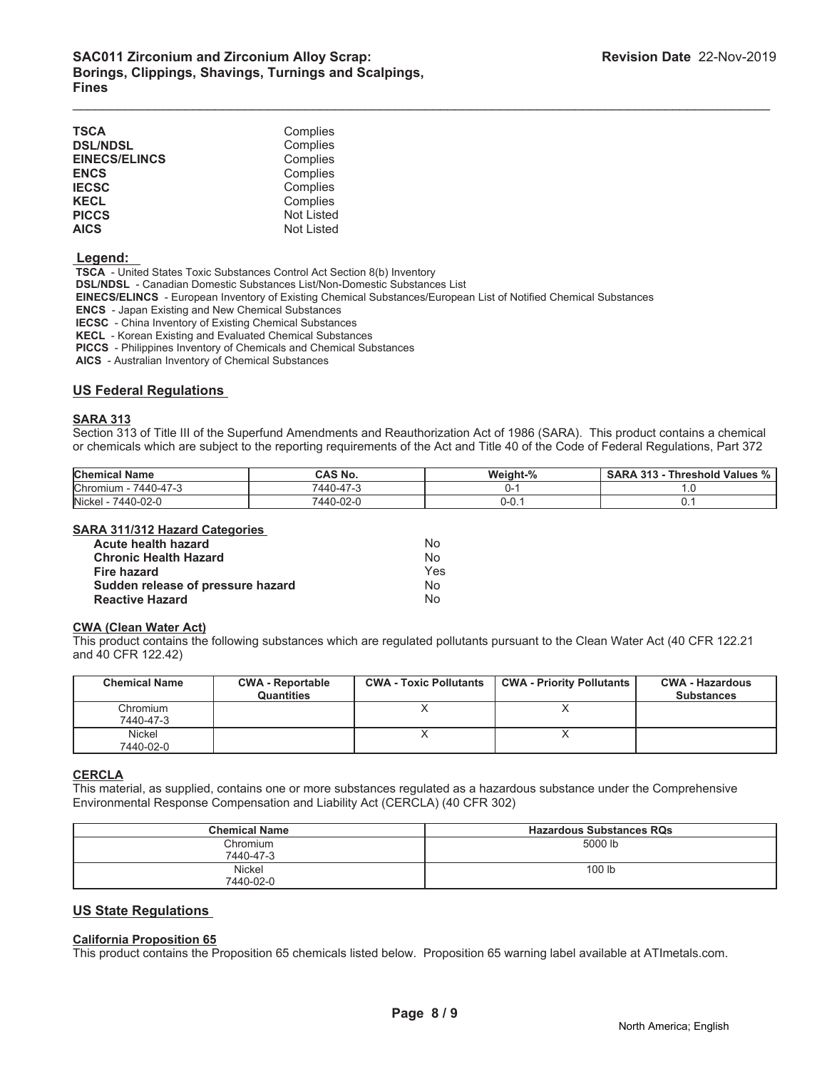| TSCA                 | Complies          |
|----------------------|-------------------|
| <b>DSL/NDSL</b>      | Complies          |
| <b>EINECS/ELINCS</b> | Complies          |
| <b>ENCS</b>          | Complies          |
| <b>IECSC</b>         | Complies          |
| <b>KECL</b>          | Complies          |
| <b>PICCS</b>         | <b>Not Listed</b> |
| <b>AICS</b>          | <b>Not Listed</b> |

#### **Legend:**

 **TSCA** - United States Toxic Substances Control Act Section 8(b) Inventory

 **DSL/NDSL** - Canadian Domestic Substances List/Non-Domestic Substances List

 **EINECS/ELINCS** - European Inventory of Existing Chemical Substances/European List of Notified Chemical Substances

 **ENCS** - Japan Existing and New Chemical Substances

 **IECSC** - China Inventory of Existing Chemical Substances

 **KECL** - Korean Existing and Evaluated Chemical Substances

 **PICCS** - Philippines Inventory of Chemicals and Chemical Substances

 **AICS** - Australian Inventory of Chemical Substances

#### **US Federal Regulations**

#### **SARA 313**

Section 313 of Title III of the Superfund Amendments and Reauthorization Act of 1986 (SARA). This product contains a chemical or chemicals which are subject to the reporting requirements of the Act and Title 40 of the Code of Federal Regulations, Part 372

 $\mathcal{L}_\mathcal{L} = \mathcal{L}_\mathcal{L} = \mathcal{L}_\mathcal{L} = \mathcal{L}_\mathcal{L} = \mathcal{L}_\mathcal{L} = \mathcal{L}_\mathcal{L} = \mathcal{L}_\mathcal{L} = \mathcal{L}_\mathcal{L} = \mathcal{L}_\mathcal{L} = \mathcal{L}_\mathcal{L} = \mathcal{L}_\mathcal{L} = \mathcal{L}_\mathcal{L} = \mathcal{L}_\mathcal{L} = \mathcal{L}_\mathcal{L} = \mathcal{L}_\mathcal{L} = \mathcal{L}_\mathcal{L} = \mathcal{L}_\mathcal{L}$ 

| <b>Chemical Name</b>    | CAS No.   | Weight-% | <b>Threshold Values %</b><br>313<br><b>SARA</b> |
|-------------------------|-----------|----------|-------------------------------------------------|
| Chromium -<br>7440-47-3 | 7440-47-3 |          |                                                 |
| Nickel -<br>7440-02-0   | 7440-02-0 | ∪-∪. I   |                                                 |

#### **SARA 311/312 Hazard Categories**

| <b>Acute health hazard</b>        | Nο  |
|-----------------------------------|-----|
| <b>Chronic Health Hazard</b>      | No  |
| Fire hazard                       | Yes |
| Sudden release of pressure hazard | Nο  |
| <b>Reactive Hazard</b>            | N٥  |

## **CWA (Clean Water Act)**

This product contains the following substances which are regulated pollutants pursuant to the Clean Water Act (40 CFR 122.21 and 40 CFR 122.42)

| <b>Chemical Name</b>  | <b>CWA - Reportable</b><br><b>Quantities</b> | <b>CWA - Toxic Pollutants</b> | <b>CWA - Priority Pollutants</b> | <b>CWA - Hazardous</b><br><b>Substances</b> |
|-----------------------|----------------------------------------------|-------------------------------|----------------------------------|---------------------------------------------|
| Chromium<br>7440-47-3 |                                              |                               |                                  |                                             |
| Nickel<br>7440-02-0   |                                              |                               |                                  |                                             |

#### **CERCLA**

This material, as supplied, contains one or more substances regulated as a hazardous substance under the Comprehensive Environmental Response Compensation and Liability Act (CERCLA) (40 CFR 302)

| <b>Chemical Name</b>       | <b>Hazardous Substances RQs</b> |
|----------------------------|---------------------------------|
| Chromium<br>7440-47-3      | 5000 lb                         |
| <b>Nickel</b><br>7440-02-0 | 100 lb                          |

#### **US State Regulations**

#### **California Proposition 65**

This product contains the Proposition 65 chemicals listed below. Proposition 65 warning label available at ATImetals.com.